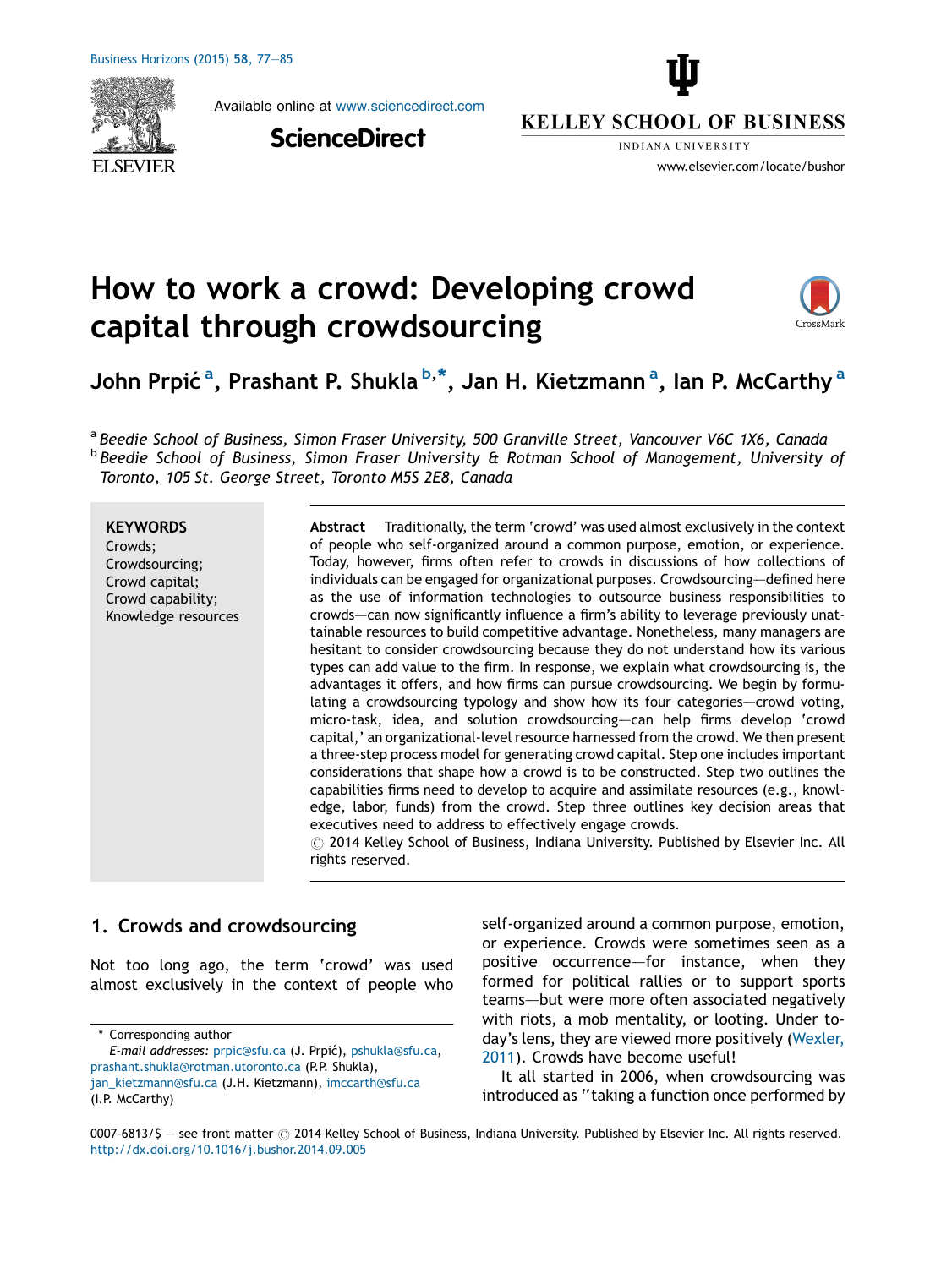**EI SEVIER** 

Available online at [www.sciencedirect.com](http://www.sciencedirect.com/science/journal/00076813)



**ScienceDirect** 

INDIANA UNIVERSITY

www.elsevier.com/locate/bushor

# How to work a crowd: Developing crowd capital through crowdsourcing



John Prpić<sup>a</sup>, Prashant P. Shukla<sup>b,\*</sup>, Jan H. Kietzmann<sup>a</sup>, Ian P. McCarthy<sup>a</sup>

a Beedie School of Business, Simon Fraser University, 500 Granville Street, Vancouver V6C 1X6, Canada **b Beedie School of Business, Simon Fraser University & Rotman School of Management, University of** Toronto, 105 St. George Street, Toronto M5S 2E8, Canada

### **KEYWORDS**

Crowds; Crowdsourcing; Crowd capital; Crowd capability; Knowledge resources

Abstract Traditionally, the term 'crowd' was used almost exclusively in the context of people who self-organized around a common purpose, emotion, or experience. Today, however, firms often refer to crowds in discussions of how collections of individuals can be engaged for organizational purposes. Crowdsourcing–—defined here as the use of information technologies to outsource business responsibilities to crowds–—can now significantly influence a firm's ability to leverage previously unattainable resources to build competitive advantage. Nonetheless, many managers are hesitant to consider crowdsourcing because they do not understand how its various types can add value to the firm. In response, we explain what crowdsourcing is, the advantages it offers, and how firms can pursue crowdsourcing. We begin by formulating a crowdsourcing typology and show how its four categories--crowd voting, micro-task, idea, and solution crowdsourcing-can help firms develop 'crowd capital,' an organizational-level resource harnessed from the crowd. We then present a three-step process model for generating crowd capital. Step one includes important considerations that shape how a crowd is to be constructed. Step two outlines the capabilities firms need to develop to acquire and assimilate resources (e.g., knowledge, labor, funds) from the crowd. Step three outlines key decision areas that executives need to address to effectively engage crowds.

 $\odot$  2014 Kelley School of Business, Indiana University. Published by Elsevier Inc. All rights reserved.

# 1. Crowds and crowdsourcing

Not too long ago, the term 'crowd' was used almost exclusively in the context of people who

\* Corresponding author

self-organized around a common purpose, emotion, or experience. Crowds were sometimes seen as a positive occurrence—for instance, when they formed for political rallies or to support sports teams–—but were more often associated negatively with riots, a mob mentality, or looting. Under today's lens, they are viewed more positively [\(Wexler,](#page-8-0) [2011\)](#page-8-0). Crowds have become useful!

It all started in 2006, when crowdsourcing was introduced as ''taking a function once performed by

0007-6813/\$ - see front matter @ 2014 Kelley School of Business, Indiana University. Published by Elsevier Inc. All rights reserved. <http://dx.doi.org/10.1016/j.bushor.2014.09.005>

E-mail addresses: [prpic@sfu.ca](mailto:prpic@sfu.ca) (J. Prpić), [pshukla@sfu.ca,](mailto:pshukla@sfu.ca) [prashant.shukla@rotman.utoronto.ca](mailto:prashant.shukla@rotman.utoronto.ca) (P.P. Shukla), [jan\\_kietzmann@sfu.ca](mailto:jan_kietzmann@sfu.ca) (J.H. Kietzmann), [imccarth@sfu.ca](mailto:imccarth@sfu.ca) (I.P. McCarthy)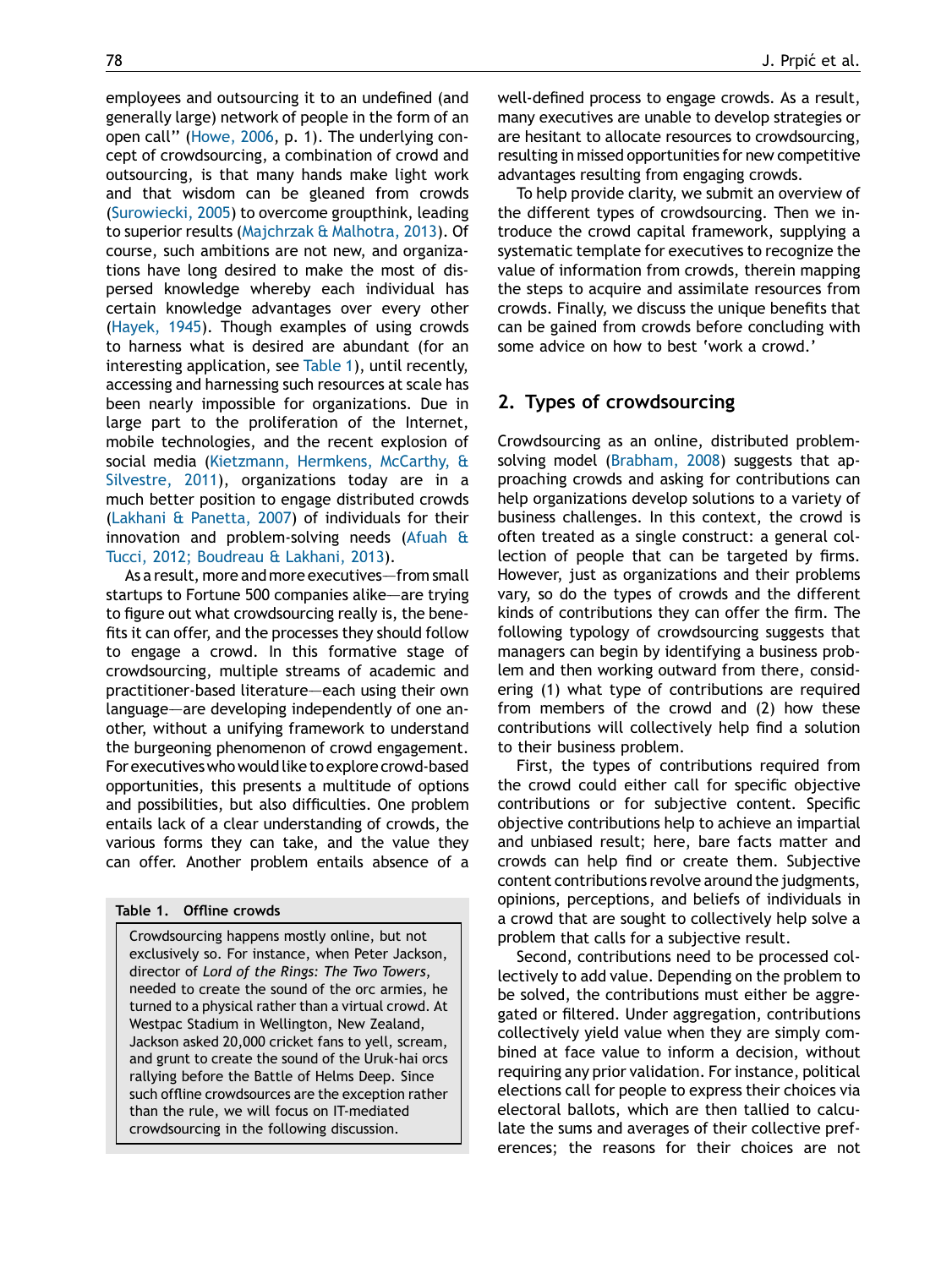<span id="page-1-0"></span>employees and outsourcing it to an undefined (and generally large) network of people in the form of an open call'' ([Howe,](#page-8-0) 2006, p. 1). The underlying concept of crowdsourcing, a combination of crowd and outsourcing, is that many hands make light work and that wisdom can be gleaned from crowds ([Surowiecki,](#page-8-0) 2005) to overcome groupthink, leading to superior results ([Majchrzak](#page-8-0) & Malhotra, 2013). Of course, such ambitions are not new, and organizations have long desired to make the most of dispersed knowledge whereby each individual has certain knowledge advantages over every other ([Hayek,](#page-8-0) 1945). Though examples of using crowds to harness what is desired are abundant (for an interesting application, see Table 1), until recently, accessing and harnessing such resources at scale has been nearly impossible for organizations. Due in large part to the proliferation of the Internet, mobile technologies, and the recent explosion of social media [\(Kietzmann,](#page-8-0) Hermkens, McCarthy, & [Silvestre,](#page-8-0) 2011), organizations today are in a much better position to engage distributed crowds (Lakhani & [Panetta,](#page-8-0) 2007) of individuals for their innovation and problem-solving needs ([Afuah](#page-7-0) & Tucci, 2012; [Boudreau](#page-7-0) & Lakhani, 2013).

As a result, more and more executives-from small startups to Fortune 500 companies alike—are trying to figure out what crowdsourcing really is, the benefits it can offer, and the processes they should follow to engage a crowd. In this formative stage of crowdsourcing, multiple streams of academic and practitioner-based literature—each using their own language–—are developing independently of one another, without a unifying framework to understand the burgeoning phenomenon of crowd engagement. For executiveswhowould liketo explore crowd-based opportunities, this presents a multitude of options and possibilities, but also difficulties. One problem entails lack of a clear understanding of crowds, the various forms they can take, and the value they can offer. Another problem entails absence of a

#### Table 1. Offline crowds

Crowdsourcing happens mostly online, but not exclusively so. For instance, when Peter Jackson, director of Lord of the Rings: The Two Towers, needed to create the sound of the orc armies, he turned to a physical rather than a virtual crowd. At Westpac Stadium in Wellington, New Zealand, Jackson asked 20,000 cricket fans to yell, scream, and grunt to create the sound of the Uruk-hai orcs rallying before the Battle of Helms Deep. Since such offline crowdsources are the exception rather than the rule, we will focus on IT-mediated crowdsourcing in the following discussion.

well-defined process to engage crowds. As a result, many executives are unable to develop strategies or are hesitant to allocate resources to crowdsourcing, resulting in missed opportunities for new competitive advantages resulting from engaging crowds.

To help provide clarity, we submit an overview of the different types of crowdsourcing. Then we introduce the crowd capital framework, supplying a systematic template for executives to recognize the value of information from crowds, therein mapping the steps to acquire and assimilate resources from crowds. Finally, we discuss the unique benefits that can be gained from crowds before concluding with some advice on how to best 'work a crowd.'

# 2. Types of crowdsourcing

Crowdsourcing as an online, distributed problemsolving model [\(Brabham,](#page-8-0) 2008) suggests that approaching crowds and asking for contributions can help organizations develop solutions to a variety of business challenges. In this context, the crowd is often treated as a single construct: a general collection of people that can be targeted by firms. However, just as organizations and their problems vary, so do the types of crowds and the different kinds of contributions they can offer the firm. The following typology of crowdsourcing suggests that managers can begin by identifying a business problem and then working outward from there, considering (1) what type of contributions are required from members of the crowd and (2) how these contributions will collectively help find a solution to their business problem.

First, the types of contributions required from the crowd could either call for specific objective contributions or for subjective content. Specific objective contributions help to achieve an impartial and unbiased result; here, bare facts matter and crowds can help find or create them. Subjective content contributions revolve around the judgments, opinions, perceptions, and beliefs of individuals in a crowd that are sought to collectively help solve a problem that calls for a subjective result.

Second, contributions need to be processed collectively to add value. Depending on the problem to be solved, the contributions must either be aggregated or filtered. Under aggregation, contributions collectively yield value when they are simply combined at face value to inform a decision, without requiring any prior validation. For instance, political elections call for people to express their choices via electoral ballots, which are then tallied to calculate the sums and averages of their collective preferences; the reasons for their choices are not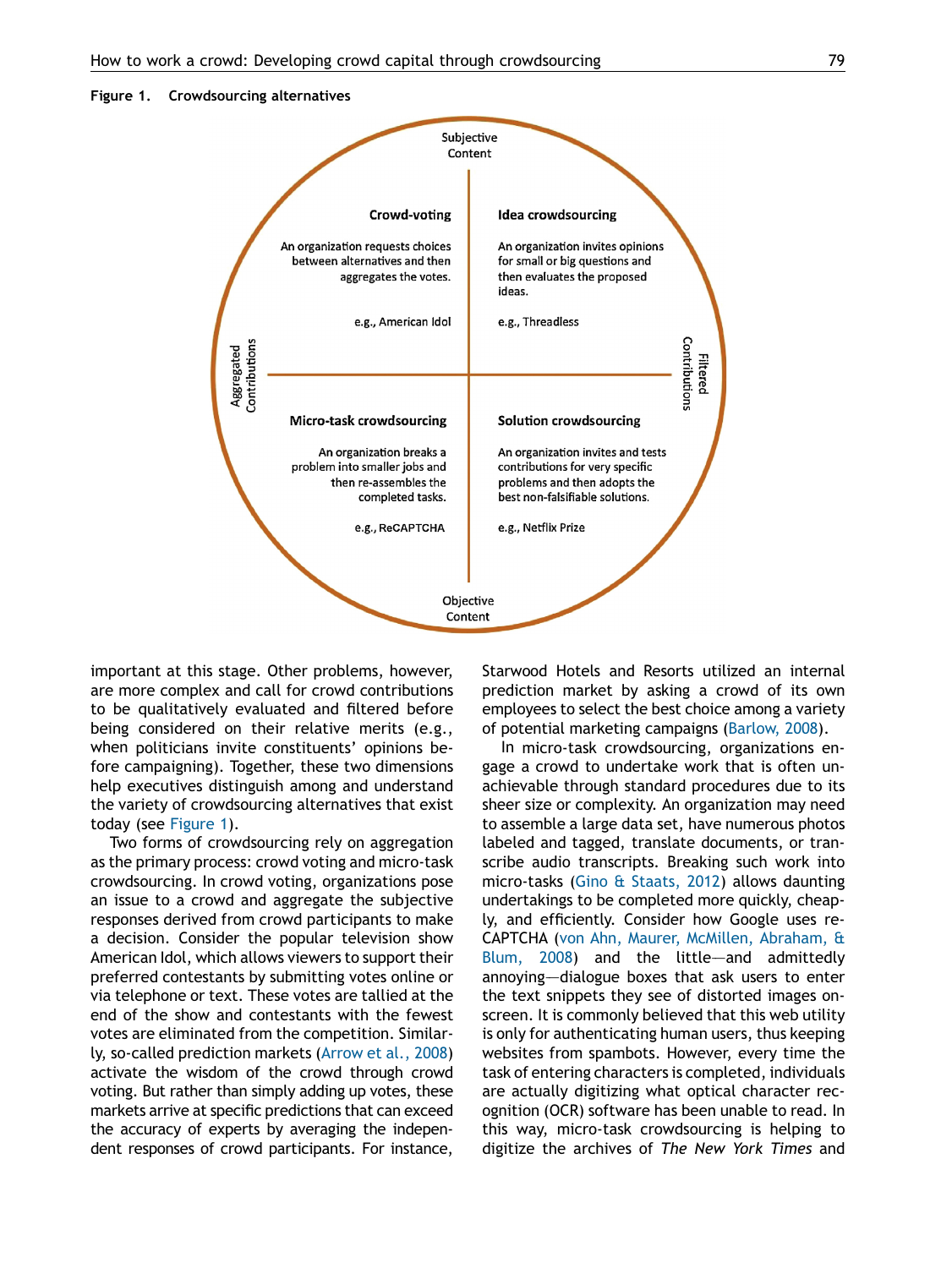#### <span id="page-2-0"></span>Figure 1. Crowdsourcing alternatives



important at this stage. Other problems, however, are more complex and call for crowd contributions to be qualitatively evaluated and filtered before being considered on their relative merits (e.g., when politicians invite constituents' opinions before campaigning). Together, these two dimensions help executives distinguish among and understand the variety of crowdsourcing alternatives that exist today (see Figure 1).

Two forms of crowdsourcing rely on aggregation as the primary process: crowd voting and micro-task crowdsourcing. In crowd voting, organizations pose an issue to a crowd and aggregate the subjective responses derived from crowd participants to make a decision. Consider the popular television show American Idol, which allows viewers to support their preferred contestants by submitting votes online or via telephone or text. These votes are tallied at the end of the show and contestants with the fewest votes are eliminated from the competition. Similarly, so-called prediction markets [\(Arrow](#page-7-0) et al., 2008) activate the wisdom of the crowd through crowd voting. But rather than simply adding up votes, these markets arrive at specific predictions that can exceed the accuracy of experts by averaging the independent responses of crowd participants. For instance, Starwood Hotels and Resorts utilized an internal prediction market by asking a crowd of its own employees to select the best choice among a variety of potential marketing campaigns ([Barlow,](#page-7-0) 2008).

In micro-task crowdsourcing, organizations engage a crowd to undertake work that is often unachievable through standard procedures due to its sheer size or complexity. An organization may need to assemble a large data set, have numerous photos labeled and tagged, translate documents, or transcribe audio transcripts. Breaking such work into micro-tasks (Gino & [Staats,](#page-8-0) 2012) allows daunting undertakings to be completed more quickly, cheaply, and efficiently. Consider how Google uses re-CAPTCHA (von Ahn, Maurer, McMillen, [Abraham,](#page-8-0) & [Blum,](#page-8-0) 2008) and the little-and admittedly annoying–—dialogue boxes that ask users to enter the text snippets they see of distorted images onscreen. It is commonly believed that this web utility is only for authenticating human users, thus keeping websites from spambots. However, every time the task of entering characters is completed, individuals are actually digitizing what optical character recognition (OCR) software has been unable to read. In this way, micro-task crowdsourcing is helping to digitize the archives of The New York Times and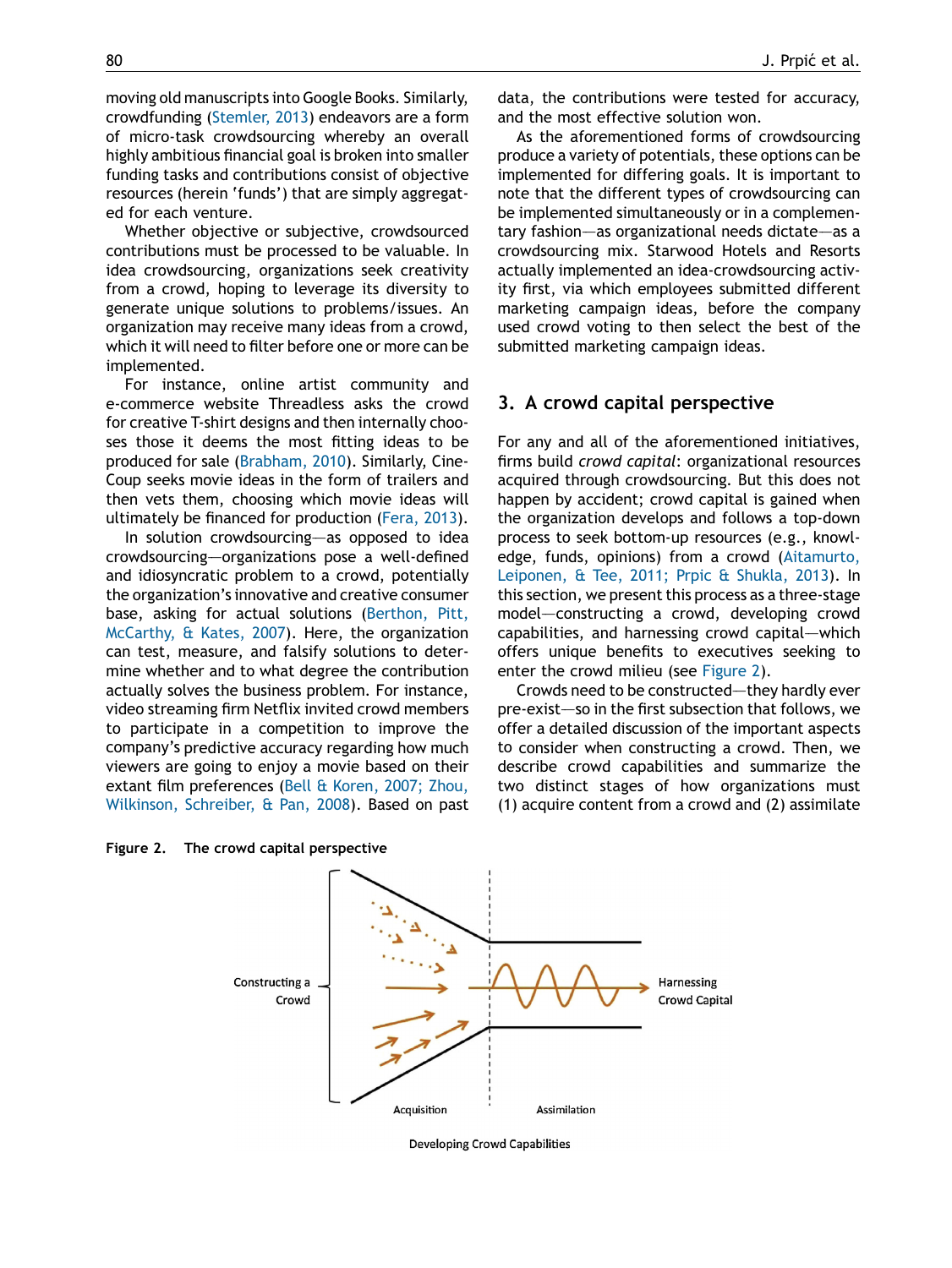moving old manuscripts into Google Books. Similarly, crowdfunding ([Stemler,](#page-8-0) 2013) endeavors are a form of micro-task crowdsourcing whereby an overall highly ambitious financial goal is broken into smaller funding tasks and contributions consist of objective resources (herein 'funds') that are simply aggregated for each venture.

Whether objective or subjective, crowdsourced contributions must be processed to be valuable. In idea crowdsourcing, organizations seek creativity from a crowd, hoping to leverage its diversity to generate unique solutions to problems/issues. An organization may receive many ideas from a crowd, which it will need to filter before one or more can be implemented.

For instance, online artist community and e-commerce website Threadless asks the crowd for creative T-shirt designs and then internally chooses those it deems the most fitting ideas to be produced for sale [\(Brabham,](#page-8-0) 2010). Similarly, Cine-Coup seeks movie ideas in the form of trailers and then vets them, choosing which movie ideas will ultimately be financed for production [\(Fera,](#page-8-0) 2013).

In solution crowdsourcing–—as opposed to idea crowdsourcing–—organizations pose a well-defined and idiosyncratic problem to a crowd, potentially the organization'sinnovative and creative consumer base, asking for actual solutions ([Berthon,](#page-7-0) Pitt, [McCarthy,](#page-7-0) & Kates, 2007). Here, the organization can test, measure, and falsify solutions to determine whether and to what degree the contribution actually solves the business problem. For instance, video streaming firm Netflix invited crowd members to participate in a competition to improve the company's predictive accuracy regarding how much viewers are going to enjoy a movie based on their extant film preferences (Bell & [Koren,](#page-7-0) 2007; Zhou, [Wilkinson,](#page-7-0) Schreiber, & Pan, 2008). Based on past data, the contributions were tested for accuracy, and the most effective solution won.

As the aforementioned forms of crowdsourcing produce a variety of potentials, these options can be implemented for differing goals. It is important to note that the different types of crowdsourcing can be implemented simultaneously or in a complementary fashion—as organizational needs dictate—as a crowdsourcing mix. Starwood Hotels and Resorts actually implemented an idea-crowdsourcing activity first, via which employees submitted different marketing campaign ideas, before the company used crowd voting to then select the best of the submitted marketing campaign ideas.

## 3. A crowd capital perspective

For any and all of the aforementioned initiatives, firms build crowd capital: organizational resources acquired through crowdsourcing. But this does not happen by accident; crowd capital is gained when the organization develops and follows a top-down process to seek bottom-up resources (e.g., knowledge, funds, opinions) from a crowd [\(Aitamurto,](#page-7-0) [Leiponen,](#page-7-0) & Tee, 2011; Prpic & Shukla, 2013). In this section, we present this process as a three-stage model–—constructing a crowd, developing crowd capabilities, and harnessing crowd capital–—which offers unique benefits to executives seeking to enter the crowd milieu (see Figure 2).

Crowds need to be constructed—they hardly ever pre-exist–—so in the first subsection that follows, we offer a detailed discussion of the important aspects to consider when constructing a crowd. Then, we describe crowd capabilities and summarize the two distinct stages of how organizations must (1) acquire content from a crowd and (2) assimilate



Figure 2. The crowd capital perspective

Developing Crowd Capabilities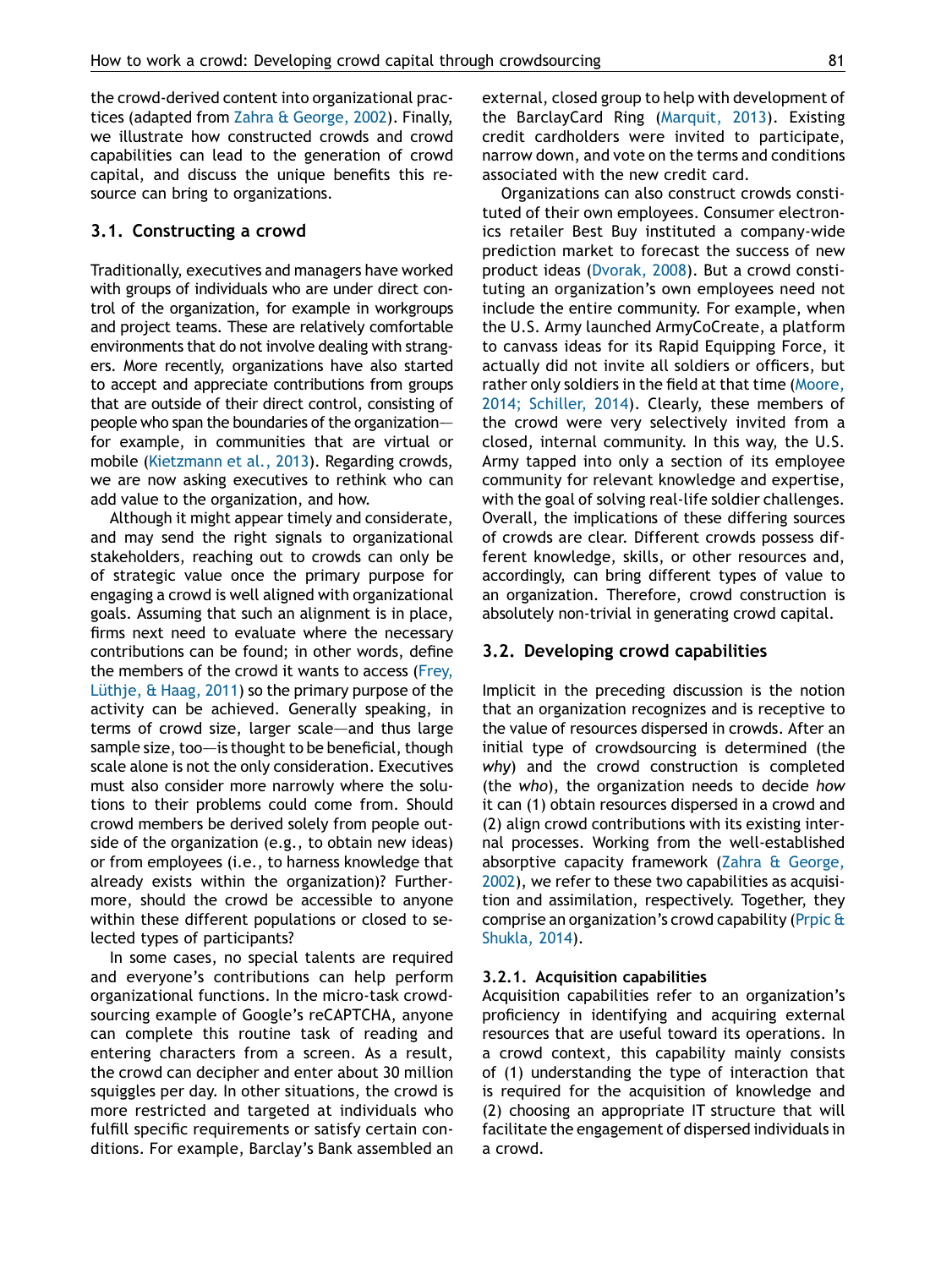the crowd-derived content into organizational practices (adapted from Zahra & [George,](#page-8-0) 2002). Finally, we illustrate how constructed crowds and crowd capabilities can lead to the generation of crowd capital, and discuss the unique benefits this resource can bring to organizations.

## 3.1. Constructing a crowd

Traditionally, executives and managers have worked with groups of individuals who are under direct control of the organization, for example in workgroups and project teams. These are relatively comfortable environments that do not involve dealing with strangers. More recently, organizations have also started to accept and appreciate contributions from groups that are outside of their direct control, consisting of people who span the boundaries of the organization– for example, in communities that are virtual or mobile [\(Kietzmann](#page-8-0) et al., 2013). Regarding crowds, we are now asking executives to rethink who can add value to the organization, and how.

Although it might appear timely and considerate, and may send the right signals to organizational stakeholders, reaching out to crowds can only be of strategic value once the primary purpose for engaging a crowd is well aligned with organizational goals. Assuming that such an alignment is in place, firms next need to evaluate where the necessary contributions can be found; in other words, define the members of the crowd it wants to access ([Frey,](#page-8-0) Lüthje, & Haag, 2011) so the primary purpose of the activity can be achieved. Generally speaking, in terms of crowd size, larger scale—and thus large sample size, too—is thought to be beneficial, though scale alone is not the only consideration. Executives must also consider more narrowly where the solutions to their problems could come from. Should crowd members be derived solely from people outside of the organization (e.g., to obtain new ideas) or from employees (i.e., to harness knowledge that already exists within the organization)? Furthermore, should the crowd be accessible to anyone within these different populations or closed to selected types of participants?

In some cases, no special talents are required and everyone's contributions can help perform organizational functions. In the micro-task crowdsourcing example of Google's reCAPTCHA, anyone can complete this routine task of reading and entering characters from a screen. As a result, the crowd can decipher and enter about 30 million squiggles per day. In other situations, the crowd is more restricted and targeted at individuals who fulfill specific requirements or satisfy certain conditions. For example, Barclay's Bank assembled an external, closed group to help with development of the BarclayCard Ring ([Marquit,](#page-8-0) 2013). Existing credit cardholders were invited to participate, narrow down, and vote on the terms and conditions associated with the new credit card.

Organizations can also construct crowds constituted of their own employees. Consumer electronics retailer Best Buy instituted a company-wide prediction market to forecast the success of new product ideas ([Dvorak,](#page-8-0) 2008). But a crowd constituting an organization's own employees need not include the entire community. For example, when the U.S. Army launched ArmyCoCreate, a platform to canvass ideas for its Rapid Equipping Force, it actually did not invite all soldiers or officers, but rather only soldiers in the field at that time ([Moore,](#page-8-0) 2014; [Schiller,](#page-8-0) 2014). Clearly, these members of the crowd were very selectively invited from a closed, internal community. In this way, the U.S. Army tapped into only a section of its employee community for relevant knowledge and expertise, with the goal of solving real-life soldier challenges. Overall, the implications of these differing sources of crowds are clear. Different crowds possess different knowledge, skills, or other resources and, accordingly, can bring different types of value to an organization. Therefore, crowd construction is absolutely non-trivial in generating crowd capital.

## 3.2. Developing crowd capabilities

Implicit in the preceding discussion is the notion that an organization recognizes and is receptive to the value of resources dispersed in crowds. After an initial type of crowdsourcing is determined (the why) and the crowd construction is completed (the who), the organization needs to decide how it can (1) obtain resources dispersed in a crowd and (2) align crowd contributions with its existing internal processes. Working from the well-established absorptive capacity framework (Zahra & [George,](#page-8-0) [2002\)](#page-8-0), we refer to these two capabilities as acquisition and assimilation, respectively. Together, they comprise an organization's crowd capability ([Prpic](#page-8-0) & [Shukla,](#page-8-0) 2014).

#### 3.2.1. Acquisition capabilities

Acquisition capabilities refer to an organization's proficiency in identifying and acquiring external resources that are useful toward its operations. In a crowd context, this capability mainly consists of (1) understanding the type of interaction that is required for the acquisition of knowledge and (2) choosing an appropriate IT structure that will facilitate the engagement of dispersed individuals in a crowd.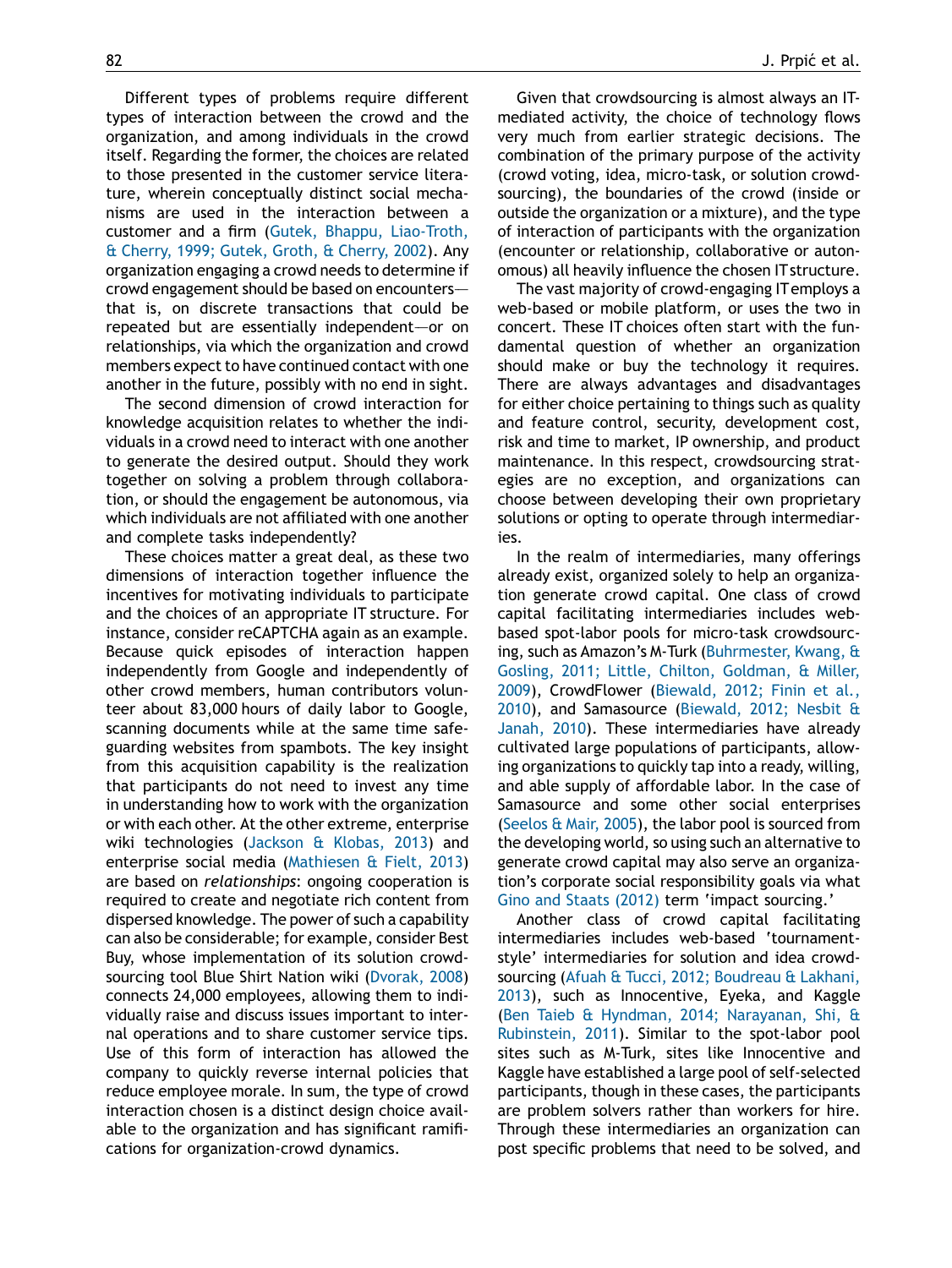Different types of problems require different types of interaction between the crowd and the organization, and among individuals in the crowd itself. Regarding the former, the choices are related to those presented in the customer service literature, wherein conceptually distinct social mechanisms are used in the interaction between a customer and a firm (Gutek, Bhappu, [Liao-Troth,](#page-8-0) & Cherry, 1999; Gutek, Groth, & [Cherry,](#page-8-0) 2002). Any organization engaging a crowd needs to determine if crowd engagement should be based on encounters– that is, on discrete transactions that could be repeated but are essentially independent--relationships, via which the organization and crowd members expect to have continued contact with one another in the future, possibly with no end in sight.

The second dimension of crowd interaction for knowledge acquisition relates to whether the individuals in a crowd need to interact with one another to generate the desired output. Should they work together on solving a problem through collaboration, or should the engagement be autonomous, via which individuals are not affiliated with one another and complete tasks independently?

These choices matter a great deal, as these two dimensions of interaction together influence the incentives for motivating individuals to participate and the choices of an appropriate IT structure. For instance, consider reCAPTCHA again as an example. Because quick episodes of interaction happen independently from Google and independently of other crowd members, human contributors volunteer about 83,000 hours of daily labor to Google, scanning documents while at the same time safeguarding websites from spambots. The key insight from this acquisition capability is the realization that participants do not need to invest any time in understanding how to work with the organization or with each other. At the other extreme, enterprise wiki technologies ([Jackson](#page-8-0) & Klobas, 2013) and enterprise social media ([Mathiesen](#page-8-0) & Fielt, 2013) are based on relationships: ongoing cooperation is required to create and negotiate rich content from dispersed knowledge. The power of such a capability can also be considerable; for example, consider Best Buy, whose implementation of its solution crowdsourcing tool Blue Shirt Nation wiki ([Dvorak,](#page-8-0) 2008) connects 24,000 employees, allowing them to individually raise and discuss issues important to internal operations and to share customer service tips. Use of this form of interaction has allowed the company to quickly reverse internal policies that reduce employee morale. In sum, the type of crowd interaction chosen is a distinct design choice available to the organization and has significant ramifications for organization-crowd dynamics.

Given that crowdsourcing is almost always an ITmediated activity, the choice of technology flows very much from earlier strategic decisions. The combination of the primary purpose of the activity (crowd voting, idea, micro-task, or solution crowdsourcing), the boundaries of the crowd (inside or outside the organization or a mixture), and the type of interaction of participants with the organization (encounter or relationship, collaborative or autonomous) all heavily influence the chosen IT structure.

The vast majority of crowd-engaging IT employs a web-based or mobile platform, or uses the two in concert. These IT choices often start with the fundamental question of whether an organization should make or buy the technology it requires. There are always advantages and disadvantages for either choice pertaining to things such as quality and feature control, security, development cost, risk and time to market, IP ownership, and product maintenance. In this respect, crowdsourcing strategies are no exception, and organizations can choose between developing their own proprietary solutions or opting to operate through intermediaries.

In the realm of intermediaries, many offerings already exist, organized solely to help an organization generate crowd capital. One class of crowd capital facilitating intermediaries includes webbased spot-labor pools for micro-task crowdsourcing, such as Amazon's M-Turk [\(Buhrmester,](#page-8-0) Kwang, & Gosling, 2011; Little, Chilton, [Goldman,](#page-8-0) & Miller, [2009](#page-8-0)), CrowdFlower ([Biewald,](#page-7-0) 2012; Finin et al., [2010](#page-7-0)), and Samasource [\(Biewald,](#page-7-0) 2012; Nesbit & [Janah,](#page-7-0) 2010). These intermediaries have already cultivated large populations of participants, allowing organizations to quickly tap into a ready, willing, and able supply of affordable labor. In the case of Samasource and some other social enterprises [\(Seelos](#page-8-0) & Mair, 2005), the labor pool is sourced from the developing world, so using such an alternative to generate crowd capital may also serve an organization's corporate social responsibility goals via what Gino and Staats [\(2012\)](#page-8-0) term 'impact sourcing.'

Another class of crowd capital facilitating intermediaries includes web-based 'tournamentstyle' intermediaries for solution and idea crowdsourcing (Afuah & Tucci, 2012; [Boudreau](#page-7-0) & Lakhani, [2013](#page-7-0)), such as Innocentive, Eyeka, and Kaggle (Ben Taieb & Hyndman, 2014; [Narayanan,](#page-7-0) Shi, & [Rubinstein,](#page-7-0) 2011). Similar to the spot-labor pool sites such as M-Turk, sites like Innocentive and Kaggle have established a large pool of self-selected participants, though in these cases, the participants are problem solvers rather than workers for hire. Through these intermediaries an organization can post specific problems that need to be solved, and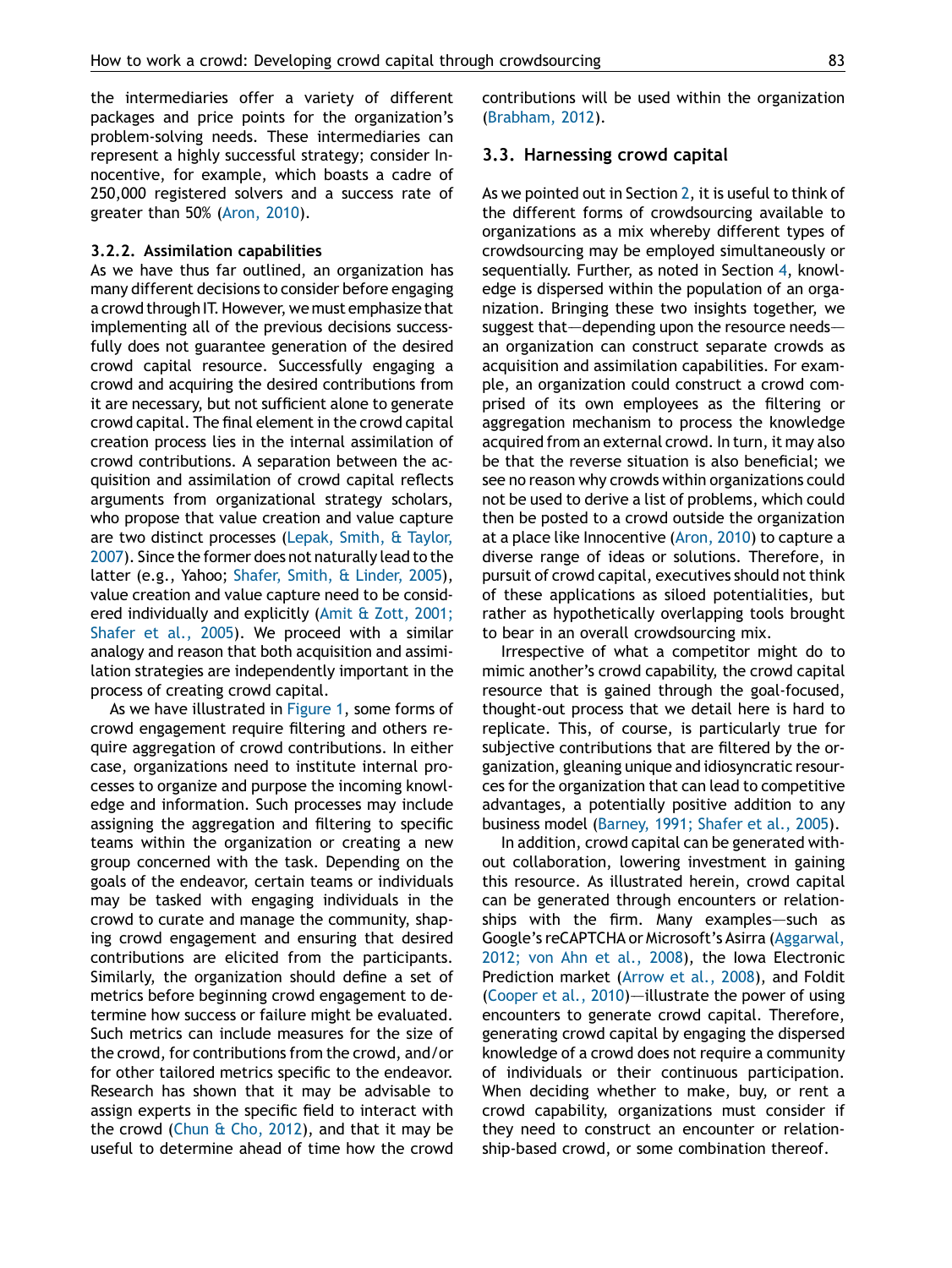the intermediaries offer a variety of different packages and price points for the organization's problem-solving needs. These intermediaries can represent a highly successful strategy; consider Innocentive, for example, which boasts a cadre of 250,000 registered solvers and a success rate of greater than 50% [\(Aron,](#page-7-0) 2010).

#### 3.2.2. Assimilation capabilities

As we have thus far outlined, an organization has many different decisions to consider before engaging a crowd through IT.However, we must emphasize that implementing all of the previous decisions successfully does not guarantee generation of the desired crowd capital resource. Successfully engaging a crowd and acquiring the desired contributions from it are necessary, but not sufficient alone to generate crowd capital. The final element in the crowd capital creation process lies in the internal assimilation of crowd contributions. A separation between the acquisition and assimilation of crowd capital reflects arguments from organizational strategy scholars, who propose that value creation and value capture are two distinct processes ([Lepak,](#page-8-0) Smith, & Taylor, [2007](#page-8-0)). Since the former does not naturally lead to the latter (e.g., Yahoo; [Shafer,](#page-8-0) Smith, & Linder, 2005), value creation and value capture need to be considered individually and explicitly (Amit & Zott, [2001;](#page-7-0) [Shafer](#page-7-0) et al., 2005). We proceed with a similar analogy and reason that both acquisition and assimilation strategies are independently important in the process of creating crowd capital.

As we have illustrated in [Figure](#page-2-0) 1, some forms of crowd engagement require filtering and others require aggregation of crowd contributions. In either case, organizations need to institute internal processes to organize and purpose the incoming knowledge and information. Such processes may include assigning the aggregation and filtering to specific teams within the organization or creating a new group concerned with the task. Depending on the goals of the endeavor, certain teams or individuals may be tasked with engaging individuals in the crowd to curate and manage the community, shaping crowd engagement and ensuring that desired contributions are elicited from the participants. Similarly, the organization should define a set of metrics before beginning crowd engagement to determine how success or failure might be evaluated. Such metrics can include measures for the size of the crowd, for contributions from the crowd, and/or for other tailored metrics specific to the endeavor. Research has shown that it may be advisable to assign experts in the specific field to interact with the crowd ([Chun](#page-8-0) & Cho, 2012), and that it may be useful to determine ahead of time how the crowd contributions will be used within the organization [\(Brabham,](#page-8-0) 2012).

## 3.3. Harnessing crowd capital

As we pointed out in Section [2,](#page-1-0) it is useful to think of the different forms of crowdsourcing available to organizations as a mix whereby different types of crowdsourcing may be employed simultaneously or sequentially. Further, as noted in Section [4,](#page-7-0) knowledge is dispersed within the population of an organization. Bringing these two insights together, we suggest that—depending upon the resource needs an organization can construct separate crowds as acquisition and assimilation capabilities. For example, an organization could construct a crowd comprised of its own employees as the filtering or aggregation mechanism to process the knowledge acquired from an external crowd. In turn, it may also be that the reverse situation is also beneficial; we see no reason why crowds within organizations could not be used to derive a list of problems, which could then be posted to a crowd outside the organization at a place like Innocentive ([Aron,](#page-7-0) 2010) to capture a diverse range of ideas or solutions. Therefore, in pursuit of crowd capital, executives should not think of these applications as siloed potentialities, but rather as hypothetically overlapping tools brought to bear in an overall crowdsourcing mix.

Irrespective of what a competitor might do to mimic another's crowd capability, the crowd capital resource that is gained through the goal-focused, thought-out process that we detail here is hard to replicate. This, of course, is particularly true for subjective contributions that are filtered by the organization, gleaning unique and idiosyncratic resources for the organization that can lead to competitive advantages, a potentially positive addition to any business model [\(Barney,](#page-7-0) 1991; Shafer et al., 2005).

In addition, crowd capital can be generated without collaboration, lowering investment in gaining this resource. As illustrated herein, crowd capital can be generated through encounters or relationships with the firm. Many examples-such as Google's reCAPTCHA or Microsoft's Asirra ([Aggarwal,](#page-7-0) [2012;](#page-7-0) von Ahn et al., 2008), the Iowa Electronic Prediction market [\(Arrow](#page-7-0) et al., 2008), and Foldit [\(Cooper](#page-8-0) et al., 2010)—illustrate the power of using encounters to generate crowd capital. Therefore, generating crowd capital by engaging the dispersed knowledge of a crowd does not require a community of individuals or their continuous participation. When deciding whether to make, buy, or rent a crowd capability, organizations must consider if they need to construct an encounter or relationship-based crowd, or some combination thereof.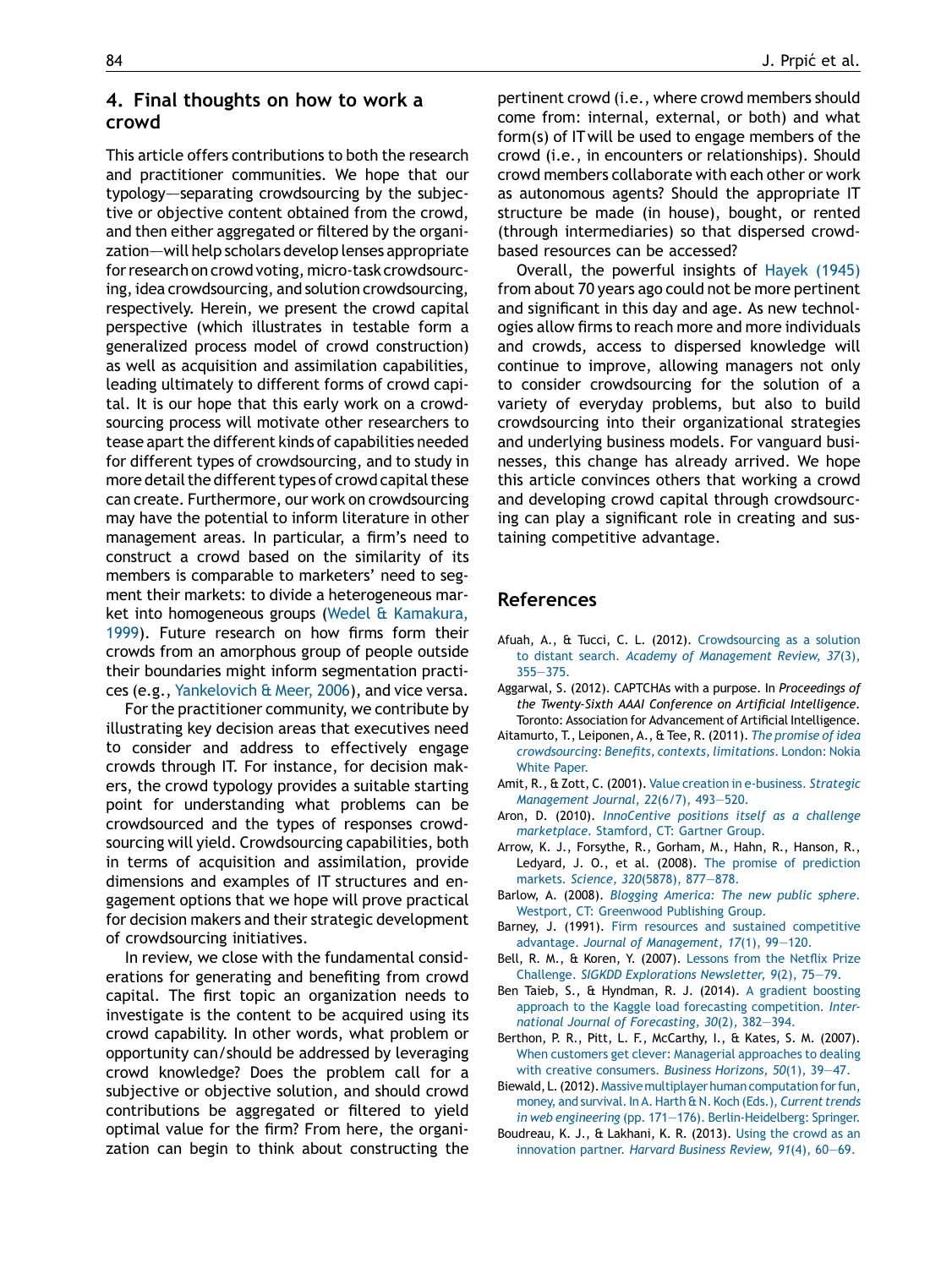## <span id="page-7-0"></span>4. Final thoughts on how to work a crowd

This article offers contributions to both the research and practitioner communities. We hope that our typology–—separating crowdsourcing by the subjective or objective content obtained from the crowd, and then either aggregated or filtered by the organization–—will help scholars develop lenses appropriate for research on crowd voting, micro-task crowdsourcing, idea crowdsourcing, and solution crowdsourcing, respectively. Herein, we present the crowd capital perspective (which illustrates in testable form a generalized process model of crowd construction) as well as acquisition and assimilation capabilities, leading ultimately to different forms of crowd capital. It is our hope that this early work on a crowdsourcing process will motivate other researchers to tease apart the different kinds of capabilities needed for different types of crowdsourcing, and to study in more detail the different types of crowd capital these can create. Furthermore, our work on crowdsourcing may have the potential to inform literature in other management areas. In particular, a firm's need to construct a crowd based on the similarity of its members is comparable to marketers' need to segment their markets: to divide a heterogeneous market into homogeneous groups (Wedel & [Kamakura,](#page-8-0) [1999\)](#page-8-0). Future research on how firms form their crowds from an amorphous group of people outside their boundaries might inform segmentation practices (e.g., [Yankelovich](#page-8-0) & Meer, 2006), and vice versa.

For the practitioner community, we contribute by illustrating key decision areas that executives need to consider and address to effectively engage crowds through IT. For instance, for decision makers, the crowd typology provides a suitable starting point for understanding what problems can be crowdsourced and the types of responses crowdsourcing will yield. Crowdsourcing capabilities, both in terms of acquisition and assimilation, provide dimensions and examples of IT structures and engagement options that we hope will prove practical for decision makers and their strategic development of crowdsourcing initiatives.

In review, we close with the fundamental considerations for generating and benefiting from crowd capital. The first topic an organization needs to investigate is the content to be acquired using its crowd capability. In other words, what problem or opportunity can/should be addressed by leveraging crowd knowledge? Does the problem call for a subjective or objective solution, and should crowd contributions be aggregated or filtered to yield optimal value for the firm? From here, the organization can begin to think about constructing the pertinent crowd (i.e., where crowd members should come from: internal, external, or both) and what form(s) of ITwill be used to engage members of the crowd (i.e., in encounters or relationships). Should crowd members collaborate with each other or work as autonomous agents? Should the appropriate IT structure be made (in house), bought, or rented (through intermediaries) so that dispersed crowdbased resources can be accessed?

Overall, the powerful insights of Hayek [\(1945\)](#page-8-0) from about 70 years ago could not be more pertinent and significant in this day and age. As new technologies allow firms to reach more and more individuals and crowds, access to dispersed knowledge will continue to improve, allowing managers not only to consider crowdsourcing for the solution of a variety of everyday problems, but also to build crowdsourcing into their organizational strategies and underlying business models. For vanguard businesses, this change has already arrived. We hope this article convinces others that working a crowd and developing crowd capital through crowdsourcing can play a significant role in creating and sustaining competitive advantage.

# References

- Afuah, A., & Tucci, C. L. (2012). [Crowdsourcing](http://refhub.elsevier.com/S0007-6813(14)00143-8/sbref0005) as a solution to distant search. Academy of [Management](http://refhub.elsevier.com/S0007-6813(14)00143-8/sbref0005) Review, 37(3), [355—375](http://refhub.elsevier.com/S0007-6813(14)00143-8/sbref0005).
- Aggarwal, S. (2012). CAPTCHAs with a purpose. In Proceedings of the Twenty-Sixth AAAI Conference on Artificial Intelligence. Toronto: Association for Advancement of Artificial Intelligence.
- Aitamurto, T., Leiponen, A., & Tee, R. (2011). The [promise](http://refhub.elsevier.com/S0007-6813(14)00143-8/sbref0015) of idea crowdsourcing: Benefits, contexts, limitations. London: Nokia [White](http://refhub.elsevier.com/S0007-6813(14)00143-8/sbref0015) Paper.
- Amit, R., & Zott, C. (2001). Value creation in [e-business.](http://refhub.elsevier.com/S0007-6813(14)00143-8/sbref0020) Strategic [Management](http://refhub.elsevier.com/S0007-6813(14)00143-8/sbref0020) Journal, 22(6/7), 493—520.
- Aron, D. (2010). [InnoCentive](http://refhub.elsevier.com/S0007-6813(14)00143-8/sbref0025) positions itself as a challenge [marketplace](http://refhub.elsevier.com/S0007-6813(14)00143-8/sbref0025). Stamford, CT: Gartner Group.
- Arrow, K. J., Forsythe, R., Gorham, M., Hahn, R., Hanson, R., Ledyard, J. O., et al. (2008). The promise of [prediction](http://refhub.elsevier.com/S0007-6813(14)00143-8/sbref0030) [markets.](http://refhub.elsevier.com/S0007-6813(14)00143-8/sbref0030) Science, 320(5878), 877—878.
- Barlow, A. (2008). Blogging [America:](http://refhub.elsevier.com/S0007-6813(14)00143-8/sbref0035) The new public sphere. Westport, CT: [Greenwood](http://refhub.elsevier.com/S0007-6813(14)00143-8/sbref0035) Publishing Group.
- Barney, J. (1991). Firm resources and sustained [competitive](http://refhub.elsevier.com/S0007-6813(14)00143-8/sbref0040) advantage. Journal of [Management,](http://refhub.elsevier.com/S0007-6813(14)00143-8/sbref0040) 17(1), 99—120.
- Bell, R. M., & Koren, Y. (2007). [Lessons](http://refhub.elsevier.com/S0007-6813(14)00143-8/sbref0045) from the Netflix Prize Challenge. SIGKDD [Explorations](http://refhub.elsevier.com/S0007-6813(14)00143-8/sbref0045) Newsletter, 9(2), 75—79.
- Ben Taieb, S., & Hyndman, R. J. (2014). A gradient [boosting](http://refhub.elsevier.com/S0007-6813(14)00143-8/sbref0050) approach to the Kaggle load forecasting [competition.](http://refhub.elsevier.com/S0007-6813(14)00143-8/sbref0050) International Journal of [Forecasting,](http://refhub.elsevier.com/S0007-6813(14)00143-8/sbref0050) 30(2), 382—394.
- Berthon, P. R., Pitt, L. F., McCarthy, I., & Kates, S. M. (2007). When customers get clever: Managerial [approaches](http://refhub.elsevier.com/S0007-6813(14)00143-8/sbref0290) to dealing with creative [consumers.](http://refhub.elsevier.com/S0007-6813(14)00143-8/sbref0290) Business Horizons, 50(1), 39-47.
- Biewald, L. (2012). Massive multiplayer human computation for fun, money, and survival. In A. Harth & N. Koch (Eds.), Current trends in web engineering (pp. 171—176). [Berlin-Heidelberg:](http://refhub.elsevier.com/S0007-6813(14)00143-8/sbref0055) Springer.
- Boudreau, K. J., & Lakhani, K. R. (2013). Using the [crowd](http://refhub.elsevier.com/S0007-6813(14)00143-8/sbref0060) as an [innovation](http://refhub.elsevier.com/S0007-6813(14)00143-8/sbref0060) partner. Harvard Business Review, 91(4), 60—69.